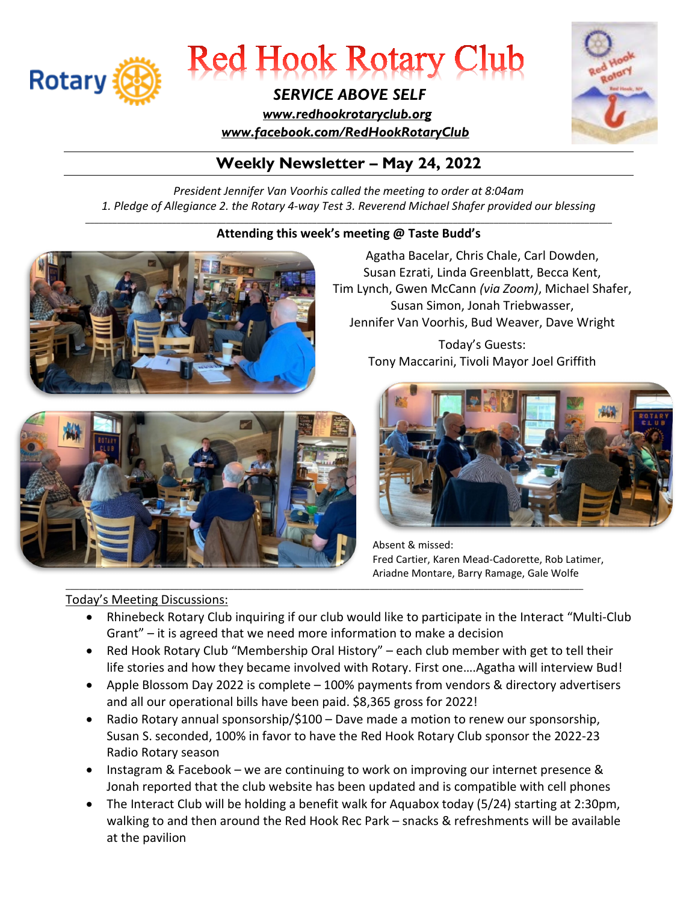



#### *SERVICE ABOVE SELF*

 *[www.redhookrotaryclub.org](http://www.redhookrotaryclub.org/) [www.facebook.com/RedHookRotaryClub](http://www.facebook.com/RedHookRotaryClub)*



#### **Weekly Newsletter – May 24, 2022**

*President Jennifer Van Voorhis called the meeting to order at 8:04am 1. Pledge of Allegiance 2. the Rotary 4-way Test 3. Reverend Michael Shafer provided our blessing*

#### \_\_\_\_\_\_\_\_\_\_\_\_\_\_\_\_\_\_\_\_\_\_\_\_\_\_\_\_\_\_\_\_\_\_\_\_\_\_\_\_\_\_\_\_\_\_\_\_\_\_\_\_\_\_\_\_\_\_\_\_\_\_\_\_\_\_\_\_\_\_\_\_\_\_\_\_\_\_\_\_\_\_\_\_\_\_\_\_\_\_\_\_\_\_\_\_\_\_\_\_\_\_\_\_\_\_\_\_\_\_\_\_\_\_\_\_ **Attending this week's meeting @ Taste Budd's**



Agatha Bacelar, Chris Chale, Carl Dowden, Susan Ezrati, Linda Greenblatt, Becca Kent, Tim Lynch, Gwen McCann *(via Zoom)*, Michael Shafer, Susan Simon, Jonah Triebwasser, Jennifer Van Voorhis, Bud Weaver, Dave Wright

> Today's Guests: Tony Maccarini, Tivoli Mayor Joel Griffith



#### Today's Meeting Discussions:



Absent & missed: Fred Cartier, Karen Mead-Cadorette, Rob Latimer, Ariadne Montare, Barry Ramage, Gale Wolfe

• Rhinebeck Rotary Club inquiring if our club would like to participate in the Interact "Multi-Club Grant" – it is agreed that we need more information to make a decision

\_\_\_\_\_\_\_\_\_\_\_\_\_\_\_\_\_\_\_\_\_\_\_\_\_\_\_\_\_\_\_\_\_\_\_\_\_\_\_\_\_\_\_\_\_\_\_\_\_\_\_\_\_\_\_\_\_\_\_\_\_\_\_\_\_\_\_\_\_\_\_\_\_\_\_\_\_\_\_\_\_\_\_\_\_\_\_\_\_\_\_\_\_\_\_\_\_\_\_\_\_\_\_\_\_\_\_\_\_\_\_\_\_\_

- Red Hook Rotary Club "Membership Oral History" each club member with get to tell their life stories and how they became involved with Rotary. First one….Agatha will interview Bud!
- Apple Blossom Day 2022 is complete 100% payments from vendors & directory advertisers and all our operational bills have been paid. \$8,365 gross for 2022!
- Radio Rotary annual sponsorship/\$100 Dave made a motion to renew our sponsorship, Susan S. seconded, 100% in favor to have the Red Hook Rotary Club sponsor the 2022-23 Radio Rotary season
- Instagram & Facebook we are continuing to work on improving our internet presence & Jonah reported that the club website has been updated and is compatible with cell phones
- The Interact Club will be holding a benefit walk for Aquabox today (5/24) starting at 2:30pm, walking to and then around the Red Hook Rec Park – snacks & refreshments will be available at the pavilion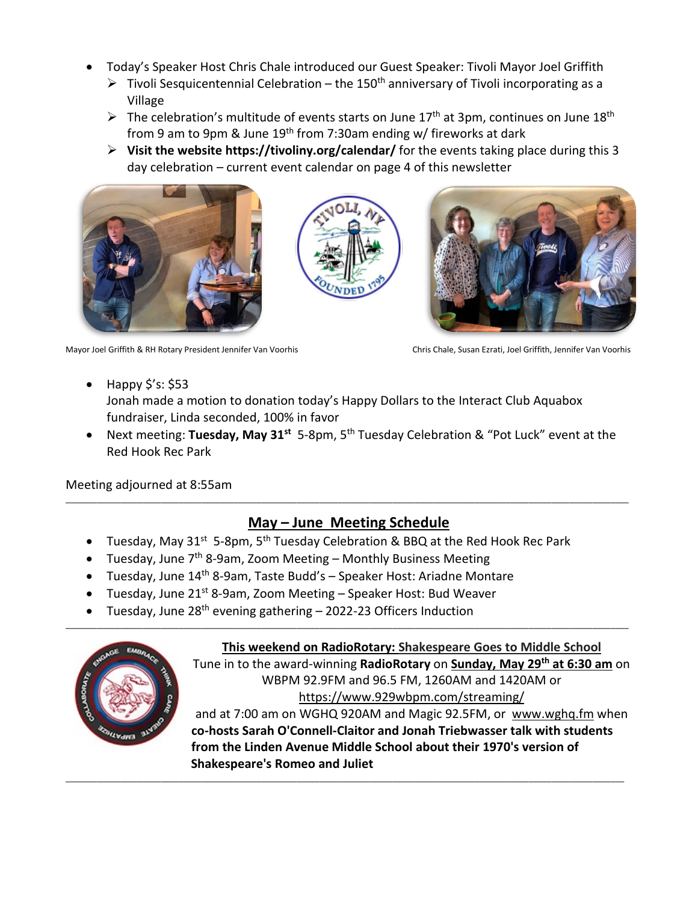- Today's Speaker Host Chris Chale introduced our Guest Speaker: Tivoli Mayor Joel Griffith
	- $\triangleright$  Tivoli Sesquicentennial Celebration the 150<sup>th</sup> anniversary of Tivoli incorporating as a Village
	- $\triangleright$  The celebration's multitude of events starts on June 17<sup>th</sup> at 3pm, continues on June 18<sup>th</sup> from 9 am to 9pm & June 19th from 7:30am ending w/ fireworks at dark
	- **Visit the website https://tivoliny.org/calendar/** for the events taking place during this 3 day celebration – current event calendar on page 4 of this newsletter







Mayor Joel Griffith & RH Rotary President Jennifer Van Voorhis Chris Chale, Susan Ezrati, Joel Griffith, Jennifer Van Voorhis

- Happy  $\frac{1}{5}$ 's: \$53 Jonah made a motion to donation today's Happy Dollars to the Interact Club Aquabox fundraiser, Linda seconded, 100% in favor
- Next meeting: **Tuesday, May 31st** 5-8pm, 5th Tuesday Celebration & "Pot Luck" event at the Red Hook Rec Park

Meeting adjourned at 8:55am

#### **May – June Meeting Schedule**

\_\_\_\_\_\_\_\_\_\_\_\_\_\_\_\_\_\_\_\_\_\_\_\_\_\_\_\_\_\_\_\_\_\_\_\_\_\_\_\_\_\_\_\_\_\_\_\_\_\_\_\_\_\_\_\_\_\_\_\_\_\_\_\_\_\_\_\_\_\_\_\_\_\_\_\_\_\_\_\_\_\_\_\_\_\_\_\_\_\_\_\_\_\_\_\_\_\_\_\_\_\_\_\_\_\_\_\_\_\_\_\_\_\_\_\_\_\_\_\_\_\_\_\_

\_\_\_\_\_\_\_\_\_\_\_\_\_\_\_\_\_\_\_\_\_\_\_\_\_\_\_\_\_\_\_\_\_\_\_\_\_\_\_\_\_\_\_\_\_\_\_\_\_\_\_\_\_\_\_\_\_\_\_\_\_\_\_\_\_\_\_\_\_\_\_\_\_\_\_\_\_\_\_\_\_\_\_\_\_\_\_\_\_\_\_\_\_\_\_\_\_\_\_\_\_\_\_\_\_\_\_\_\_\_\_\_\_\_\_\_\_\_\_\_\_\_\_

\_\_\_\_\_\_\_\_\_\_\_\_\_\_\_\_\_\_\_\_\_\_\_\_\_\_\_\_\_\_\_\_\_\_\_\_\_\_\_\_\_\_\_\_\_\_\_\_\_\_\_\_\_\_\_\_\_\_\_\_\_\_\_\_\_\_\_\_\_\_\_\_\_\_\_\_\_\_\_\_\_\_\_\_\_\_\_\_\_\_\_\_\_\_\_\_\_\_\_\_\_\_\_\_\_\_\_\_\_\_\_\_\_\_\_\_\_\_\_\_\_\_\_\_

- Tuesday, May 31<sup>st</sup> 5-8pm, 5<sup>th</sup> Tuesday Celebration & BBQ at the Red Hook Rec Park
- Tuesday, June  $7<sup>th</sup>$  8-9am, Zoom Meeting Monthly Business Meeting
- Tuesday, June 14<sup>th</sup> 8-9am, Taste Budd's Speaker Host: Ariadne Montare
- Tuesday, June 21<sup>st</sup> 8-9am, Zoom Meeting Speaker Host: Bud Weaver
- Tuesday, June  $28<sup>th</sup>$  evening gathering 2022-23 Officers Induction



**This weekend on RadioRotary: Shakespeare Goes to Middle School**

Tune in to the award-winning **RadioRotary** on **Sunday, May 29th at 6:30 am** on WBPM 92.9FM and 96.5 FM, 1260AM and 1420AM or <https://www.929wbpm.com/streaming/> and at 7:00 am on WGHQ 920AM and Magic 92.5FM, or [www.wghq.fm](http://www.wghq.fm/) when **co-hosts Sarah O'Connell-Claitor and Jonah Triebwasser talk with students from the Linden Avenue Middle School about their 1970's version of Shakespeare's Romeo and Juliet**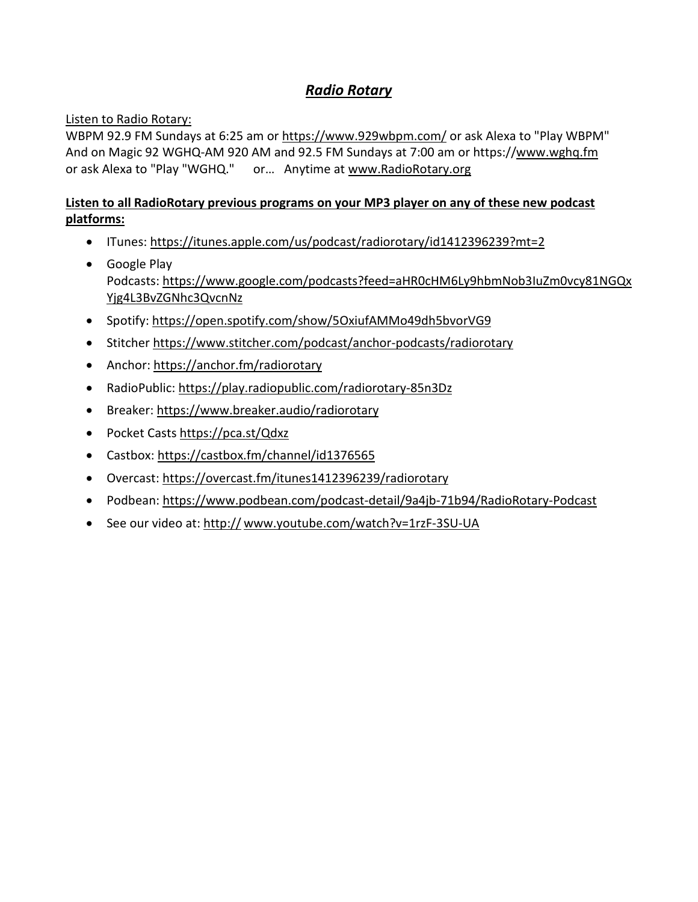#### *Radio Rotary*

#### Listen to Radio Rotary:

WBPM 92.9 FM Sundays at 6:25 am or <https://www.929wbpm.com/> or ask Alexa to "Play WBPM" And on Magic 92 WGHQ-AM 920 AM and 92.5 FM Sundays at 7:00 am or https:/[/www.wghq.fm](http://www.wghq.fm/) or ask Alexa to "Play "WGHQ." or… Anytime at [www.RadioRotary.org](http://www.radiorotary.org/)

#### **Listen to all RadioRotary previous programs on your MP3 player on any of these new podcast platforms:**

- ITunes: <https://itunes.apple.com/us/podcast/radiorotary/id1412396239?mt=2>
- Google Play Podcasts: [https://www.google.com/podcasts?feed=aHR0cHM6Ly9hbmNob3IuZm0vcy81NGQx](https://www.google.com/podcasts?feed=aHR0cHM6Ly9hbmNob3IuZm0vcy81NGQxYjg4L3BvZGNhc3QvcnNz) [Yjg4L3BvZGNhc3QvcnNz](https://www.google.com/podcasts?feed=aHR0cHM6Ly9hbmNob3IuZm0vcy81NGQxYjg4L3BvZGNhc3QvcnNz)
- Spotify: [https://open.spotify.com/show/5OxiufAMMo49dh5bvorVG9](https://l.facebook.com/l.php?u=https%3A%2F%2Fopen.spotify.com%2Fshow%2F5OxiufAMMo49dh5bvorVG9&h=AT3viApak0R4Bw-IVSNderE_juNzN426HdvuZ2ZhTK72r8cZMNZ2D8qNtyy8QZWysYZJ6FltkT6fO8WkINSq2vFqDB8ZcejIb1NEna-bu_y63nIES1vFn1YEc8gA4-rKrHV2knR8XB9U1tY4RnI8duY)
- Stitcher [https://www.stitcher.com/podcast/anchor-podcasts/radiorotary](https://l.facebook.com/l.php?u=https%3A%2F%2Fwww.stitcher.com%2Fpodcast%2Fanchor-podcasts%2Fradiorotary&h=AT2GILqt1ZKQXdvVtqvGMbu_kxUJHZCfHNo0HLytYo_1SBIvpjBOvg2in627hn3xWKmLi1jO27hXKMoLHvoYD-gO-Vl9wejENBZif4AFV25uWRQ0DYH7YcCvrZa769Vsr6H0yPo9Hh-SqUkNxUAHUbo)
- Anchor: <https://anchor.fm/radiorotary>
- RadioPublic: [https://play.radiopublic.com/radiorotary-85n3Dz](https://l.facebook.com/l.php?u=https%3A%2F%2Fplay.radiopublic.com%2Fradiorotary-85n3Dz&h=AT3E1834nW7Uf-KKG9M1SmXJxKJCNe9x5yw9klGm-Zy7Ds5ZArurZHZkFHisjHtalNb_0HQVAsn8NDup2oxddlE0XmjfBXwgxGkx1w785YOvP5LCgOyYlPH85kle-z-sICSHRnrDjenZ2tKIZB96CIM)
- Breaker: <https://www.breaker.audio/radiorotary>
- Pocket Casts <https://pca.st/Qdxz>
- Castbox: <https://castbox.fm/channel/id1376565>
- Overcast: <https://overcast.fm/itunes1412396239/radiorotary>
- Podbean: <https://www.podbean.com/podcast-detail/9a4jb-71b94/RadioRotary-Podcast>
- See our video at: http:// [www.youtube.com/watch?v=1rzF-3SU-UA](http://www.youtube.com/watch?v=1rzF-3SU-UA)